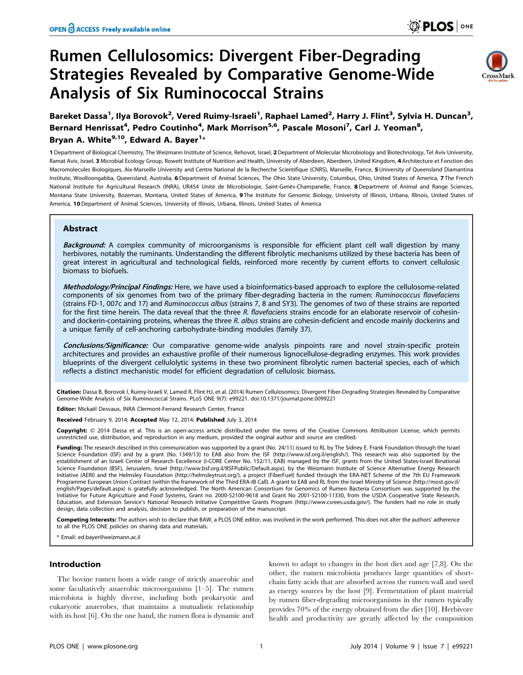# Rumen Cellulosomics: Divergent Fiber-Degrading Strategies Revealed by Comparative Genome-Wide Analysis of Six Ruminococcal Strains



# Bareket Dassa<sup>1</sup>, Ilya Borovok<sup>2</sup>, Vered Ruimy-Israeli<sup>1</sup>, Raphael Lamed<sup>2</sup>, Harry J. Flint<sup>3</sup>, Sylvia H. Duncan<sup>3</sup>, Bernard Henrissat<sup>4</sup>, Pedro Coutinho<sup>4</sup>, Mark Morrison<sup>5,6</sup>, Pascale Mosoni<sup>7</sup>, Carl J. Yeoman<sup>8</sup>, Bryan A. White<sup>9,10</sup>, Edward A. Bayer<sup>1</sup>\*

1 Department of Biological Chemistry, The Weizmann Institute of Science, Rehovot, Israel, 2 Department of Molecular Microbiology and Biotechnology, Tel Aviv University, Ramat Aviv, Israel, 3 Microbial Ecology Group, Rowett Institute of Nutrition and Health, University of Aberdeen, Aberdeen, United Kingdom, 4 Architecture et Fonction des Macromolecules Biologiques, Aix-Marseille University and Centre National de la Recherche Scientifique (CNRS), Marseille, France, 5 University of Oueensland Diamantina Institute, Woolloongabba, Queensland, Australia, 6 Department of Animal Sciences, The Ohio State University, Columbus, Ohio, United States of America, 7 The French National Institute for Agricultural Research (INRA), UR454 Unité de Microbiologie, Saint-Genès-Champanelle, France, 8 Department of Animal and Range Sciences, Montana State University, Bozeman, Montana, United States of America, 9 The Institute for Genomic Biology, University of Illinois, Urbana, Illinois, United States of America, 10 Department of Animal Sciences, University of Illinois, Urbana, Illinois, United States of America

# Abstract

**Background:** A complex community of microorganisms is responsible for efficient plant cell wall digestion by many herbivores, notably the ruminants. Understanding the different fibrolytic mechanisms utilized by these bacteria has been of great interest in agricultural and technological fields, reinforced more recently by current efforts to convert cellulosic biomass to biofuels.

Methodology/Principal Findings: Here, we have used a bioinformatics-based approach to explore the cellulosome-related components of six genomes from two of the primary fiber-degrading bacteria in the rumen: Ruminococcus flavefaciens (strains FD-1, 007c and 17) and Ruminococcus albus (strains 7, 8 and SY3). The genomes of two of these strains are reported for the first time herein. The data reveal that the three R. flavefaciens strains encode for an elaborate reservoir of cohesinand dockerin-containing proteins, whereas the three R. albus strains are cohesin-deficient and encode mainly dockerins and a unique family of cell-anchoring carbohydrate-binding modules (family 37).

Conclusions/Significance: Our comparative genome-wide analysis pinpoints rare and novel strain-specific protein architectures and provides an exhaustive profile of their numerous lignocellulose-degrading enzymes. This work provides blueprints of the divergent cellulolytic systems in these two prominent fibrolytic rumen bacterial species, each of which reflects a distinct mechanistic model for efficient degradation of cellulosic biomass.

Citation: Dassa B, Borovok I, Ruimy-Israeli V, Lamed R, Flint HJ, et al. (2014) Rumen Cellulosomics: Divergent Fiber-Degrading Strategies Revealed by Comparative Genome-Wide Analysis of Six Ruminococcal Strains. PLoS ONE 9(7): e99221. doi:10.1371/journal.pone.0099221

Editor: Mickaël Desvaux, INRA Clermont-Ferrand Research Center, France

Received February 9, 2014; Accepted May 12, 2014; Published July 3, 2014

Copyright: © 2014 Dassa et al. This is an open-access article distributed under the terms of the [Creative Commons Attribution License](http://creativecommons.org/licenses/by/4.0/), which permits unrestricted use, distribution, and reproduction in any medium, provided the original author and source are credited.

Funding: The research described in this communication was supported by a grant (No. 24/11) issued to RL by The Sidney E. Frank Foundation through the Israel Science Foundation (ISF) and by a grant (No. 1349/13) to EAB also from the ISF (http://www.isf.org.il/english/). This research was also supported by the establishment of an Israeli Center of Research Excellence (I-CORE Center No. 152/11, EAB) managed by the ISF, grants from the United States-Israel Binational Science Foundation (BSF), Jerusalem, Israel (http://www.bsf.org.il/BSFPublic/Default.aspx), by the Weizmann Institute of Science Alternative Energy Research Initiative (AERI) and the Helmsley Foundation (http://helmsleytrust.org/), a project (FiberFuel) funded through the ERA-NET Scheme of the 7th EU Framework Programme European Union Contract (within the framework of the Third ERA-IB Call). A grant to EAB and RL from the Israel Ministry of Science (http://most.gov.il/ english/Pages/default.aspx) is gratefully acknowledged. The North American Consortium for Genomics of Rumen Bacteria Consortium was supported by the Initiative for Future Agriculture and Food Systems, Grant no. 2000-52100-9618 and Grant No 2001-52100-11330, from the USDA Cooperative State Research, Education, and Extension Service's National Research Initiative Competitive Grants Program (http://www.csrees.usda.gov/). The funders had no role in study design, data collection and analysis, decision to publish, or preparation of the manuscript.

Competing Interests: The authors wish to declare that BAW, a PLOS ONE editor, was involved in the work performed. This does not alter the authors' adherence to all the PLOS ONE policies on sharing data and materials.

\* Email: ed.bayer@weizmann.ac.il

# Introduction

The bovine rumen hosts a wide range of strictly anaerobic and some facultatively anaerobic microorganisms [1–5]. The rumen microbiota is highly diverse, including both prokaryotic and eukaryotic anaerobes, that maintains a mutualistic relationship with its host [6]. On the one hand, the rumen flora is dynamic and

known to adapt to changes in the host diet and age [7,8]. On the other, the rumen microbiota produces large quantities of shortchain fatty acids that are absorbed across the rumen wall and used as energy sources by the host [9]. Fermentation of plant material by rumen fiber-degrading microorganisms in the rumen typically provides 70% of the energy obtained from the diet [10]. Herbivore health and productivity are greatly affected by the composition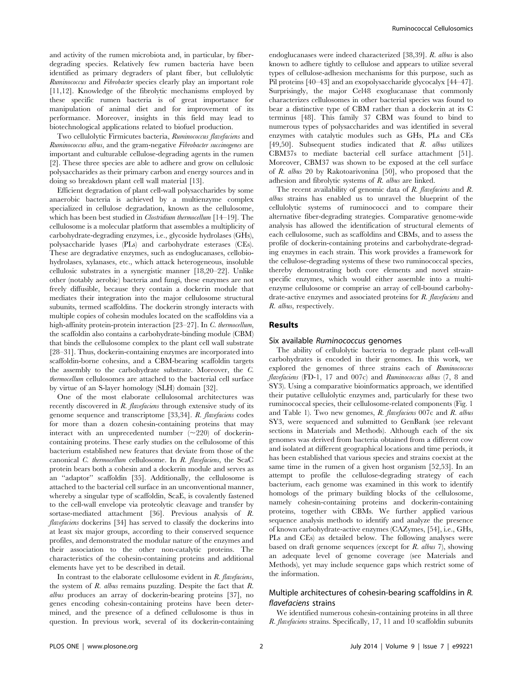and activity of the rumen microbiota and, in particular, by fiberdegrading species. Relatively few rumen bacteria have been identified as primary degraders of plant fiber, but cellulolytic Ruminococcus and Fibrobacter species clearly play an important role [11,12]. Knowledge of the fibrolytic mechanisms employed by these specific rumen bacteria is of great importance for manipulation of animal diet and for improvement of its performance. Moreover, insights in this field may lead to biotechnological applications related to biofuel production.

Two cellulolytic Firmicutes bacteria, Ruminococcus flavefaciens and Ruminococcus albus, and the gram-negative Fibrobacter succinogenes are important and culturable cellulose-degrading agents in the rumen [2]. These three species are able to adhere and grow on cellulosic polysaccharides as their primary carbon and energy sources and in doing so breakdown plant cell wall material [13].

Efficient degradation of plant cell-wall polysaccharides by some anaerobic bacteria is achieved by a multienzyme complex specialized in cellulose degradation, known as the cellulosome, which has been best studied in *Clostridium thermocellum* [14–19]. The cellulosome is a molecular platform that assembles a multiplicity of carbohydrate-degrading enzymes, i.e., glycoside hydrolases (GHs), polysaccharide lyases (PLs) and carbohydrate esterases (CEs). These are degradative enzymes, such as endoglucanases, cellobiohydrolases, xylanases, etc., which attack heterogeneous, insoluble cellulosic substrates in a synergistic manner [18,20–22]. Unlike other (notably aerobic) bacteria and fungi, these enzymes are not freely diffusible, because they contain a dockerin module that mediates their integration into the major cellulosome structural subunits, termed scaffoldins. The dockerin strongly interacts with multiple copies of cohesin modules located on the scaffoldins via a high-affinity protein-protein interaction [23–27]. In C. thermocellum, the scaffoldin also contains a carbohydrate-binding module (CBM) that binds the cellulosome complex to the plant cell wall substrate [28–31]. Thus, dockerin-containing enzymes are incorporated into scaffoldin-borne cohesins, and a CBM-bearing scaffoldin targets the assembly to the carbohydrate substrate. Moreover, the C. thermocellum cellulosomes are attached to the bacterial cell surface by virtue of an S-layer homology (SLH) domain [32].

One of the most elaborate cellulosomal architectures was recently discovered in  $R$ . flavefaciens through extensive study of its genome sequence and transcriptome [33,34]. R. flavefaciens codes for more than a dozen cohesin-containing proteins that may interact with an unprecedented number  $(\sim 220)$  of dockerincontaining proteins. These early studies on the cellulosome of this bacterium established new features that deviate from those of the canonical C. thermocellum cellulosome. In R. flavefaciens, the ScaC protein bears both a cohesin and a dockerin module and serves as an ''adaptor'' scaffoldin [35]. Additionally, the cellulosome is attached to the bacterial cell surface in an unconventional manner, whereby a singular type of scaffoldin, ScaE, is covalently fastened to the cell-wall envelope via proteolytic cleavage and transfer by sortase-mediated attachment [36]. Previous analysis of R. flavefaciens dockerins [34] has served to classify the dockerins into at least six major groups, according to their conserved sequence profiles, and demonstrated the modular nature of the enzymes and their association to the other non-catalytic proteins. The characteristics of the cohesin-containing proteins and additional elements have yet to be described in detail.

In contrast to the elaborate cellulosome evident in  $R$ . flavefaciens, the system of  $R$ . albus remains puzzling. Despite the fact that  $R$ . albus produces an array of dockerin-bearing proteins [37], no genes encoding cohesin-containing proteins have been determined, and the presence of a defined cellulosome is thus in question. In previous work, several of its dockerin-containing endoglucanases were indeed characterized [38,39]. R. albus is also known to adhere tightly to cellulose and appears to utilize several types of cellulose-adhesion mechanisms for this purpose, such as Pil proteins [40–43] and an exopolysaccharide glycocalyx [44–47]. Surprisingly, the major Cel48 exoglucanase that commonly characterizes cellulosomes in other bacterial species was found to bear a distinctive type of CBM rather than a dockerin at its C terminus [48]. This family 37 CBM was found to bind to numerous types of polysaccharides and was identified in several enzymes with catalytic modules such as GHs, PLs and CEs [49,50]. Subsequent studies indicated that R. albus utilizes CBM37s to mediate bacterial cell surface attachment [51]. Moreover, CBM37 was shown to be exposed at the cell surface of R. albus 20 by Rakotoarivonina [50], who proposed that the adhesion and fibrolytic systems of R. albus are linked.

The recent availability of genomic data of R. flavefaciens and R. albus strains has enabled us to unravel the blueprint of the cellulolytic systems of ruminococci and to compare their alternative fiber-degrading strategies. Comparative genome-wide analysis has allowed the identification of structural elements of each cellulosome, such as scaffoldins and CBMs, and to assess the profile of dockerin-containing proteins and carbohydrate-degrading enzymes in each strain. This work provides a framework for the cellulose-degrading systems of these two ruminococcal species, thereby demonstrating both core elements and novel strainspecific enzymes, which would either assemble into a multienzyme cellulosome or comprise an array of cell-bound carbohydrate-active enzymes and associated proteins for  $R$ . flavefaciens and R. albus, respectively.

#### Results

#### Six available Ruminococcus genomes

The ability of cellulolytic bacteria to degrade plant cell-wall carbohydrates is encoded in their genomes. In this work, we explored the genomes of three strains each of Ruminococcus flavefaciens (FD-1, 17 and 007c) and Ruminococcus albus (7, 8 and SY3). Using a comparative bioinformatics approach, we identified their putative cellulolytic enzymes and, particularly for these two ruminococcal species, their cellulosome-related components (Fig. 1 and Table 1). Two new genomes, R. flavefaciens 007c and R. albus SY3, were sequenced and submitted to GenBank (see relevant sections in Materials and Methods). Although each of the six genomes was derived from bacteria obtained from a different cow and isolated at different geographical locations and time periods, it has been established that various species and strains coexist at the same time in the rumen of a given host organism [52,53]. In an attempt to profile the cellulose-degrading strategy of each bacterium, each genome was examined in this work to identify homologs of the primary building blocks of the cellulosome, namely cohesin-containing proteins and dockerin-containing proteins, together with CBMs. We further applied various sequence analysis methods to identify and analyze the presence of known carbohydrate-active enzymes (CAZymes, [54], i.e., GHs, PLs and CEs) as detailed below. The following analyses were based on draft genome sequences (except for R. albus 7), showing an adequate level of genome coverage (see Materials and Methods), yet may include sequence gaps which restrict some of the information.

# Multiple architectures of cohesin-bearing scaffoldins in R. flavefaciens strains

We identified numerous cohesin-containing proteins in all three R. flavefaciens strains. Specifically, 17, 11 and 10 scaffoldin subunits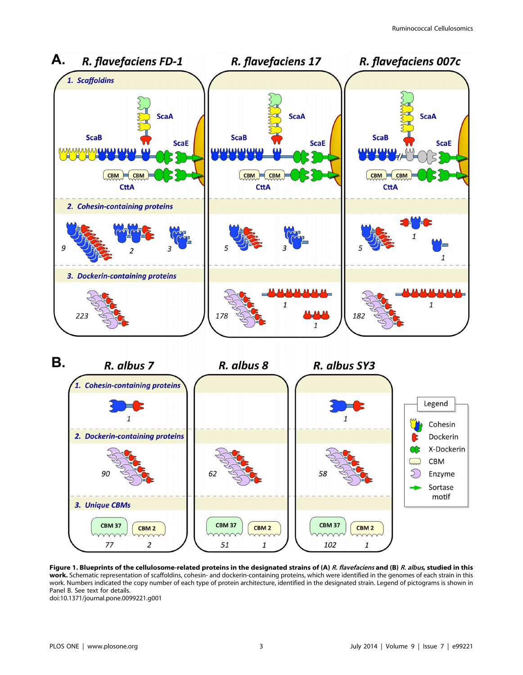



Figure 1. Blueprints of the cellulosome-related proteins in the designated strains of (A) R. flavefaciens and (B) R. albus, studied in this work. Schematic representation of scaffoldins, cohesin- and dockerin-containing proteins, which were identified in the genomes of each strain in this work. Numbers indicated the copy number of each type of protein architecture, identified in the designated strain. Legend of pictograms is shown in Panel B. See text for details. doi:10.1371/journal.pone.0099221.g001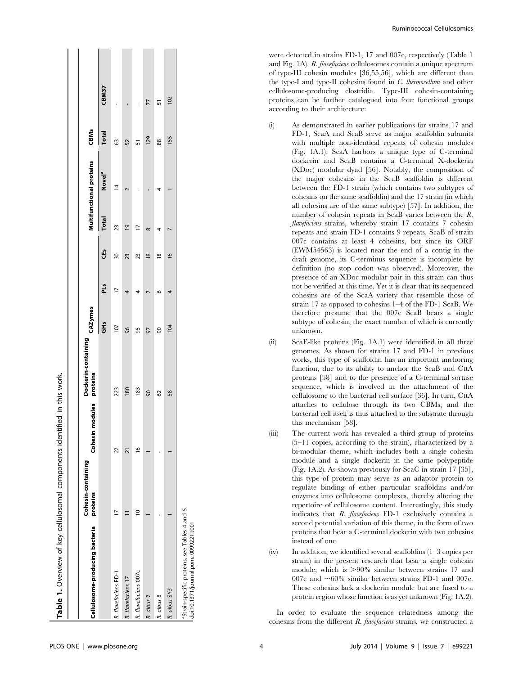|                                                                                                     | Cohesin-containing |                             | Dockerin-containing | CAZymes        |     |               |                | Multifunctional proteins | <b>CBMs</b>  |       |
|-----------------------------------------------------------------------------------------------------|--------------------|-----------------------------|---------------------|----------------|-----|---------------|----------------|--------------------------|--------------|-------|
| Cellulosome-producing bacteria                                                                      | proteins           | modules proteins<br>Cohesin |                     | Ğ              | PLS | CES           | <b>Total</b>   | Novel <sup>a</sup>       | <b>Total</b> | CBM37 |
| R. flavefaciens FD-1                                                                                |                    | 27                          | 223                 | $\overline{0}$ | 77  | 50            | 23             | ₫                        | G3           |       |
| R. flavefaciens 17                                                                                  |                    |                             | 180                 | 96             | 4   | 23            | $\overline{0}$ |                          | 52           |       |
| R. flavefaciens 007c                                                                                |                    | ڡ                           | 183                 | 95             |     | 23            |                |                          | ភ            |       |
| R. albus 7                                                                                          |                    |                             | $\overline{6}$      | 97             |     | $\frac{8}{2}$ | $\infty$       |                          | 129          | 77    |
| R. albus 8                                                                                          |                    |                             | 62                  | $\overline{6}$ | ڡ   | $\frac{8}{2}$ |                |                          | 88           | 꼬     |
| R. albus SY3                                                                                        |                    |                             | 58                  | 104            |     | $\frac{8}{2}$ |                |                          | 155          | 102   |
| <sup>a</sup> Strain-specific proteins, see Tables 4 and 5.<br>doi:10.1371/journal.pone.0099221.t001 |                    |                             |                     |                |     |               |                |                          |              |       |

were detected in strains FD-1, 17 and 007c, respectively (Table 1 and Fig. 1A). R. flavefaciens cellulosomes contain a unique spectrum of type-III cohesin modules [36,55,56], which are different than the type-I and type-II cohesins found in C. thermocellum and other cellulosome-producing clostridia. Type-III cohesin-containing proteins can be further catalogued into four functional groups according to their architecture:

- (i) As demonstrated in earlier publications for strains 17 and FD-1, ScaA and ScaB serve as major scaffoldin subunits with multiple non-identical repeats of cohesin modules (Fig. 1A.1). ScaA harbors a unique type of C-terminal dockerin and ScaB contains a C-terminal X-dockerin (XDoc) modular dyad [56]. Notably, the composition of the major cohesins in the ScaB scaffoldin is different between the FD-1 strain (which contains two subtypes of cohesins on the same scaffoldin) and the 17 strain (in which all cohesins are of the same subtype) [57]. In addition, the number of cohesin repeats in ScaB varies between the R. flavefaciens strains, whereby strain 17 contains 7 cohesin repeats and strain FD-1 contains 9 repeats. ScaB of strain 007c contains at least 4 cohesins, but since its ORF (EWM54563) is located near the end of a contig in the draft genome, its C-terminus sequence is incomplete by definition (no stop codon was observed). Moreover, the presence of an XDoc modular pair in this strain can thus not be verified at this time. Yet it is clear that its sequenced cohesins are of the ScaA variety that resemble those of strain 17 as opposed to cohesins 1–4 of the FD-1 ScaB. We therefore presume that the 007c ScaB bears a single subtype of cohesin, the exact number of which is currently unknown.
- (ii) ScaE-like proteins (Fig. 1A.1) were identified in all three genomes. As shown for strains 17 and FD-1 in previous works, this type of scaffoldin has an important anchoring function, due to its ability to anchor the ScaB and CttA proteins [58] and to the presence of a C-terminal sortase sequence, which is involved in the attachment of the cellulosome to the bacterial cell surface [36]. In turn, CttA attaches to cellulose through its two CBMs, and the bacterial cell itself is thus attached to the substrate through this mechanism [58].
- (iii) The current work has revealed a third group of proteins (5–11 copies, according to the strain), characterized by a bi-modular theme, which includes both a single cohesin module and a single dockerin in the same polypeptide (Fig. 1A.2). As shown previously for ScaC in strain 17 [35], this type of protein may serve as an adaptor protein to regulate binding of either particular scaffoldins and/or enzymes into cellulosome complexes, thereby altering the repertoire of cellulosome content. Interestingly, this study indicates that R. flavefaciens FD-1 exclusively contains a second potential variation of this theme, in the form of two proteins that bear a C-terminal dockerin with two cohesins instead of one.
- $(iv)$  In addition, we identified several scaffoldins  $(1-3$  copies per strain) in the present research that bear a single cohesin module, which is  $>90\%$  similar between strains 17 and 007c and  $\sim 60\%$  similar between strains FD-1 and 007c. These cohesins lack a dockerin module but are fused to a protein region whose function is as yet unknown (Fig. 1A.2).

In order to evaluate the sequence relatedness among the cohesins from the different  $R$ . flavefaciens strains, we constructed a

Table 1. Overview of key cellulosomal components identified in this work.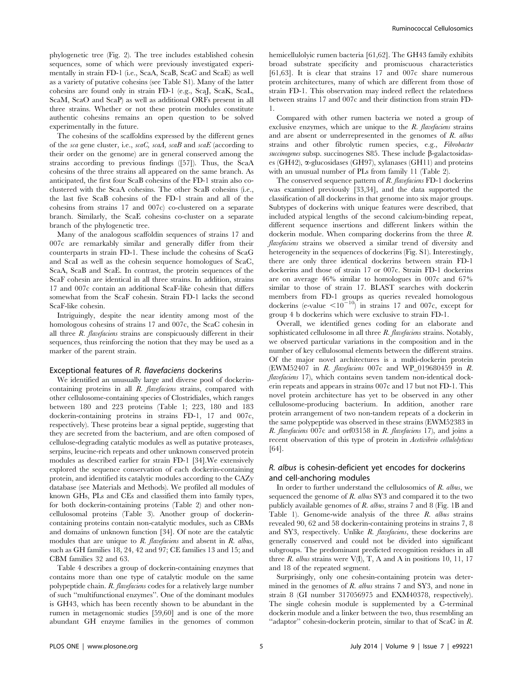phylogenetic tree (Fig. 2). The tree includes established cohesin sequences, some of which were previously investigated experimentally in strain FD-1 (i.e., ScaA, ScaB, ScaC and ScaE) as well as a variety of putative cohesins (see Table S1). Many of the latter cohesins are found only in strain FD-1 (e.g., ScaJ, ScaK, ScaL, ScaM, ScaO and ScaP) as well as additional ORFs present in all three strains. Whether or not these protein modules constitute authentic cohesins remains an open question to be solved experimentally in the future.

The cohesins of the scaffoldins expressed by the different genes of the sca gene cluster, i.e., scaC, scaA, scaB and scaE (according to their order on the genome) are in general conserved among the strains according to previous findings ([57]). Thus, the ScaA cohesins of the three strains all appeared on the same branch. As anticipated, the first four ScaB cohesins of the FD-1 strain also coclustered with the ScaA cohesins. The other ScaB cohesins (i.e., the last five ScaB cohesins of the FD-1 strain and all of the cohesins from strains 17 and 007c) co-clustered on a separate branch. Similarly, the ScaE cohesins co-cluster on a separate branch of the phylogenetic tree.

Many of the analogous scaffoldin sequences of strains 17 and 007c are remarkably similar and generally differ from their counterparts in strain FD-1. These include the cohesins of ScaG and ScaI as well as the cohesin sequence homologues of ScaC, ScaA, ScaB and ScaE. In contrast, the protein sequences of the ScaF cohesin are identical in all three strains. In addition, strains 17 and 007c contain an additional ScaF-like cohesin that differs somewhat from the ScaF cohesin. Strain FD-1 lacks the second ScaF-like cohesin.

Intriguingly, despite the near identity among most of the homologous cohesins of strains 17 and 007c, the ScaC cohesin in all three  $R$ . *flavefaciens* strains are conspicuously different in their sequences, thus reinforcing the notion that they may be used as a marker of the parent strain.

#### Exceptional features of R. flavefaciens dockerins

We identified an unusually large and diverse pool of dockerincontaining proteins in all R. flavefaciens strains, compared with other cellulosome-containing species of Clostridiales, which ranges between 180 and 223 proteins (Table 1; 223, 180 and 183 dockerin-containing proteins in strains FD-1, 17 and 007c, respectively). These proteins bear a signal peptide, suggesting that they are secreted from the bacterium, and are often composed of cellulose-degrading catalytic modules as well as putative proteases, serpins, leucine-rich repeats and other unknown conserved protein modules as described earlier for strain FD-1 [34].We extensively explored the sequence conservation of each dockerin-containing protein, and identified its catalytic modules according to the CAZy database (see Materials and Methods). We profiled all modules of known GHs, PLs and CEs and classified them into family types, for both dockerin-containing proteins (Table 2) and other noncellulosomal proteins (Table 3). Another group of dockerincontaining proteins contain non-catalytic modules, such as CBMs and domains of unknown function [34]. Of note are the catalytic modules that are unique to  $R$ . flavefaciens and absent in  $R$ . albus, such as GH families 18, 24, 42 and 97; CE families 13 and 15; and CBM families 32 and 63.

Table 4 describes a group of dockerin-containing enzymes that contains more than one type of catalytic module on the same polypeptide chain. R. flavefaciens codes for a relatively large number of such ''multifunctional enzymes''. One of the dominant modules is GH43, which has been recently shown to be abundant in the rumen in metagenomic studies [59,60] and is one of the more abundant GH enzyme families in the genomes of common hemicellulolyic rumen bacteria [61,62]. The GH43 family exhibits broad substrate specificity and promiscuous characteristics [61,63]. It is clear that strains 17 and 007c share numerous protein architectures, many of which are different from those of strain FD-1. This observation may indeed reflect the relatedness between strains 17 and 007c and their distinction from strain FD-1.

Compared with other rumen bacteria we noted a group of exclusive enzymes, which are unique to the  $R$ . flavefaciens strains and are absent or underrepresented in the genomes of R. albus strains and other fibrolytic rumen species, e.g., Fibrobacter  $succinogenesis$  subsp. succinogenes S85. These include  $\beta$ -galactosidases (GH42), a-glucosidases (GH97), xylanases (GH11) and proteins with an unusual number of PLs from family 11 (Table 2).

The conserved sequence pattern of R. flavefaciens FD-1 dockerins was examined previously [33,34], and the data supported the classification of all dockerins in that genome into six major groups. Subtypes of dockerins with unique features were described, that included atypical lengths of the second calcium-binding repeat, different sequence insertions and different linkers within the dockerin module. When comparing dockerins from the three R. flavefaciens strains we observed a similar trend of diversity and heterogeneity in the sequences of dockerins (Fig. S1). Interestingly, there are only three identical dockerins between strain FD-1 dockerins and those of strain 17 or 007c. Strain FD-1 dockerins are on average 46% similar to homologues in 007c and 67% similar to those of strain 17. BLAST searches with dockerin members from FD-1 groups as queries revealed homologous dockerins (e-value  $\leq 10^{-10}$ ) in strains 17 and 007c, except for group 4 b dockerins which were exclusive to strain FD-1.

Overall, we identified genes coding for an elaborate and sophisticated cellulosome in all three  $R$ . flavefaciens strains. Notably, we observed particular variations in the composition and in the number of key cellulosomal elements between the different strains. Of the major novel architectures is a multi-dockerin protein (EWM52407 in R. flavefaciens 007c and WP\_019680459 in R. flavefaciens 17), which contains seven tandem non-identical dockerin repeats and appears in strains 007c and 17 but not FD-1. This novel protein architecture has yet to be observed in any other cellulosome-producing bacterium. In addition, another rare protein arrangement of two non-tandem repeats of a dockerin in the same polypeptide was observed in these strains (EWM52383 in R. flavefaciens 007c and orf03158 in R. flavefaciens 17), and joins a recent observation of this type of protein in Acetivibrio cellulolyticus [64].

## R. albus is cohesin-deficient yet encodes for dockerins and cell-anchoring modules

In order to further understand the cellulosomics of  $R$ . albus, we sequenced the genome of  $R$ . albus SY3 and compared it to the two publicly available genomes of R. albus, strains 7 and 8 (Fig. 1B and Table 1). Genome-wide analysis of the three R. albus strains revealed 90, 62 and 58 dockerin-containing proteins in strains 7, 8 and SY3, respectively. Unlike R. flavefaciens, these dockerins are generally conserved and could not be divided into significant subgroups. The predominant predicted recognition residues in all three  $R$ . albus strains were  $V(I)$ ,  $T$ ,  $A$  and  $A$  in positions 10, 11, 17 and 18 of the repeated segment.

Surprisingly, only one cohesin-containing protein was determined in the genomes of R. albus strains 7 and SY3, and none in strain 8 (GI number 317056975 and EXM40378, respectively). The single cohesin module is supplemented by a C-terminal dockerin module and a linker between the two, thus resembling an "adaptor" cohesin-dockerin protein, similar to that of ScaC in R.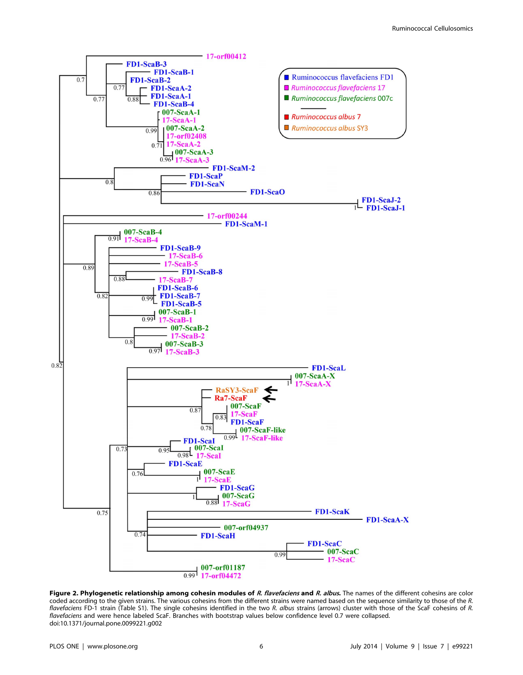

Figure 2. Phylogenetic relationship among cohesin modules of R. flavefaciens and R. albus. The names of the different cohesins are color coded according to the given strains. The various cohesins from the different strains were named based on the sequence similarity to those of the R. flavefaciens FD-1 strain (Table S1). The single cohesins identified in the two R. albus strains (arrows) cluster with those of the ScaF cohesins of R. flavefaciens and were hence labeled ScaF. Branches with bootstrap values below confidence level 0.7 were collapsed. doi:10.1371/journal.pone.0099221.g002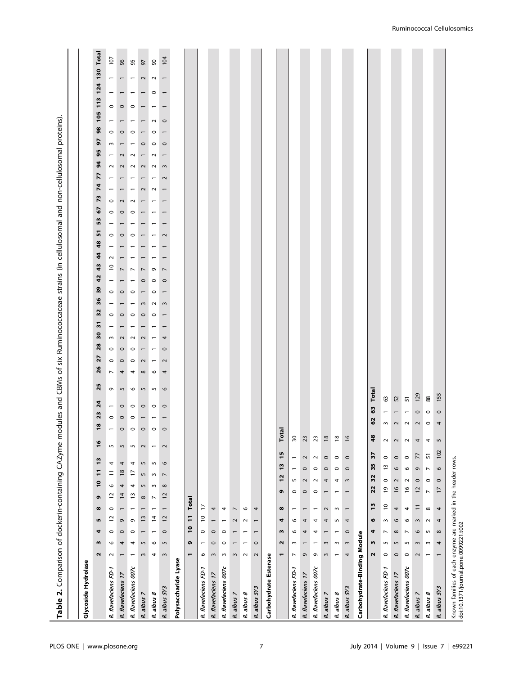| )<br>5<br>=<br>)<br>5<br>5<br>)                                                                      |  |
|------------------------------------------------------------------------------------------------------|--|
| <b>12 Trees Cubilized Artists Trees Cubilized</b>                                                    |  |
| .<br>.                                                                                               |  |
|                                                                                                      |  |
|                                                                                                      |  |
| プニュー ミニュー                                                                                            |  |
|                                                                                                      |  |
| こうりょう                                                                                                |  |
|                                                                                                      |  |
| ;<br>;<br>;                                                                                          |  |
|                                                                                                      |  |
|                                                                                                      |  |
|                                                                                                      |  |
| Ion Shirt After Discussion Contractor of the Shirt After Shirt After Shirt After Shirt After Shirt A |  |
|                                                                                                      |  |
| is<br>co<br>;<br>?                                                                                   |  |
| دان میں ممسیح ۲۸                                                                                     |  |
|                                                                                                      |  |
| <br> <br> <br> <br>                                                                                  |  |
|                                                                                                      |  |
| atainin a                                                                                            |  |
| ì                                                                                                    |  |
|                                                                                                      |  |
|                                                                                                      |  |
|                                                                                                      |  |
|                                                                                                      |  |
|                                                                                                      |  |
|                                                                                                      |  |
|                                                                                                      |  |
|                                                                                                      |  |

| Glycoside Hydrolase         |                                               |                          |                          |                          |                          |                          |                          |                          |                          |                          |                         |                          |                      |                          |         |         |                           |                          |         |          |         |                |                          |        |    |         |                |         |         |                |                |               |                |         |                           |                |         |            |         |                          |
|-----------------------------|-----------------------------------------------|--------------------------|--------------------------|--------------------------|--------------------------|--------------------------|--------------------------|--------------------------|--------------------------|--------------------------|-------------------------|--------------------------|----------------------|--------------------------|---------|---------|---------------------------|--------------------------|---------|----------|---------|----------------|--------------------------|--------|----|---------|----------------|---------|---------|----------------|----------------|---------------|----------------|---------|---------------------------|----------------|---------|------------|---------|--------------------------|
|                             | w<br>$\mathbf{\Omega}$                        | 4                        | m                        | $\infty$                 | ō                        | $\overline{10}$          | F                        | $\overline{1}$           | $\frac{6}{2}$            |                          | 18                      | 23                       | 25<br>$\overline{a}$ | $\frac{26}{5}$           | 27      | 28      | $\mathsf{S}^{\mathsf{O}}$ | $\overline{5}$           | 32      | 36       | 39      | 42             | 43                       | 44     | 48 | ᆔ       | ួ              | ĉ,      | 73      | $\overline{7}$ | 77             | $\frac{4}{3}$ | 95             | 5       | 98                        | 105            |         | <b>113</b> |         | 130 Total<br>124         |
| R. flavefaciens FD-1        | $\circ$<br>$\sim$                             | $\circ$                  | $\approx$                | $\circ$                  | $\approx$                | $\circ$                  | Ξ                        | 4                        | $\mathsf{L}\mathsf{D}$   | $\overline{\phantom{0}}$ | $\circ$                 | $\overline{\phantom{0}}$ | e                    | $\overline{\phantom{a}}$ | $\circ$ | $\circ$ | $\sim$                    | $\overline{\phantom{0}}$ | $\circ$ |          | $\circ$ |                | $\tilde{c}$              | $\sim$ |    | $\circ$ |                | $\circ$ | $\circ$ |                |                | $\sim$        |                | $\sim$  | $\circ$                   | $\overline{ }$ | $\circ$ |            |         | $\overline{\phantom{0}}$ |
| R. flavefaciens 17          | 4<br>$\overline{ }$                           | $\circ$                  | $\circ$                  | $\overline{ }$           | $\overline{1}$           | 4                        | $\frac{8}{2}$            | 4                        | $\mathsf{L}\cap$         | $\circ$                  | $\circ$                 | $\circ$                  | $\mathsf{L}\cap$     | 4                        | $\circ$ | $\circ$ | $\sim$                    | $\overline{ }$           | $\circ$ |          | $\circ$ | $\overline{ }$ | $\overline{ }$           |        |    | $\circ$ | $\overline{ }$ | $\circ$ | $\sim$  | $\overline{ }$ | $\overline{ }$ | $\sim$        | $\mathbf 2$    |         | $\overline{ }$<br>$\circ$ |                | $\circ$ |            |         | $\overline{ }$           |
| R. flavefaciens 007c        | 4                                             | $\circ$                  | $\sigma$                 | $\overline{ }$           | $\overline{1}$           | 4                        | F                        | 4                        | $\mathsf{L}\mathsf{D}$   | $\circ$                  | $\circ$                 | $\circ$                  | $\circ$              | 4                        | $\circ$ | $\circ$ | $\sim$                    |                          | $\circ$ |          | $\circ$ |                | $\overline{\phantom{a}}$ |        |    | $\circ$ |                | $\circ$ | $\sim$  |                |                | $\sim$        | $\sim$         |         | $\circ$                   |                | $\circ$ |            |         |                          |
| R. albus 7                  | 5<br>$\,$ $\,$                                | $\overline{ }$           | $\tilde{1}$              | $\overline{ }$           | $\infty$                 | 5                        | 5                        | $\mathsf{L}\cap$         | $\sim$                   | $\circ$                  |                         | $\circ$                  | 5                    | $\infty$                 | $\sim$  |         | $\sim$                    |                          | $\circ$ | $\omega$ |         | $\circ$        | $\overline{ }$           |        |    |         |                |         |         | $\sim$         |                | $\sim$        |                | $\circ$ |                           |                |         |            |         | $\sim$                   |
| R. albus 8                  | O<br>4                                        | $\overline{ }$           | 4                        | $\overline{ }$           | $\overline{\phantom{a}}$ | $\sim$                   | $\sim$                   | $\overline{5}$           | $\overline{ }$           | $\circ$                  |                         | $\circ$                  | 5                    | $\circ$                  |         |         |                           |                          | $\circ$ | $\sim$   | $\circ$ | $\circ$        | Q                        |        |    |         |                |         |         | $\sim$         |                | $\sim$        | $\sim$         | $\circ$ | $\circ$                   | $\sim$         |         |            | $\circ$ | $\sim$                   |
| R. albus SY3                | $\mathsf{L}\cap$<br>$\sim$                    | $\circ$                  | $\overline{c}$           | $\overline{\phantom{m}}$ | $\overline{c}$           | $\infty$                 | $\overline{\phantom{a}}$ | $\mathsf{\circ}$         | $\sim$                   | $\circ$                  |                         | $\circ$                  | $\mathsf{o}$         | 4                        | $\sim$  | $\circ$ | 4                         |                          |         | $\sim$   |         | $\circ$        | $\overline{ }$           |        |    | $\sim$  |                |         |         |                | $\sim$         | $\sim$        | $\overline{ }$ | $\circ$ |                           | $\circ$        |         |            |         | $\overline{\phantom{0}}$ |
| Polysaccharide Lyase        |                                               |                          |                          |                          |                          |                          |                          |                          |                          |                          |                         |                          |                      |                          |         |         |                           |                          |         |          |         |                |                          |        |    |         |                |         |         |                |                |               |                |         |                           |                |         |            |         |                          |
|                             | G<br>$\blacksquare$                           | $\overline{10}$          | $\overline{1}$           |                          | Total                    |                          |                          |                          |                          |                          |                         |                          |                      |                          |         |         |                           |                          |         |          |         |                |                          |        |    |         |                |         |         |                |                |               |                |         |                           |                |         |            |         |                          |
| R. flavefaciens FD-1        | $\overline{\phantom{0}}$<br>$\circ$           | $\circ$                  | $\mathsf{D}$             | $\overline{1}$           |                          |                          |                          |                          |                          |                          |                         |                          |                      |                          |         |         |                           |                          |         |          |         |                |                          |        |    |         |                |         |         |                |                |               |                |         |                           |                |         |            |         |                          |
| R. flavefaciens 17          | $\circ$<br>$\boldsymbol{\upomega}$            | $\circ$                  | $\overline{\phantom{0}}$ | 4                        |                          |                          |                          |                          |                          |                          |                         |                          |                      |                          |         |         |                           |                          |         |          |         |                |                          |        |    |         |                |         |         |                |                |               |                |         |                           |                |         |            |         |                          |
| R. flavefaciens 007c        | $\circ$<br>$\sim$                             | $\circ$                  | $\overline{ }$           | 4                        |                          |                          |                          |                          |                          |                          |                         |                          |                      |                          |         |         |                           |                          |         |          |         |                |                          |        |    |         |                |         |         |                |                |               |                |         |                           |                |         |            |         |                          |
| R. albus 7                  | $\overline{\phantom{0}}$<br>3                 | $\overline{\phantom{0}}$ | 2                        | $\overline{ }$           |                          |                          |                          |                          |                          |                          |                         |                          |                      |                          |         |         |                           |                          |         |          |         |                |                          |        |    |         |                |         |         |                |                |               |                |         |                           |                |         |            |         |                          |
| R. albus 8                  | $\overline{ }$<br>$\sim$                      | $\overline{ }$           | $\sim$                   | $\circ$                  |                          |                          |                          |                          |                          |                          |                         |                          |                      |                          |         |         |                           |                          |         |          |         |                |                          |        |    |         |                |         |         |                |                |               |                |         |                           |                |         |            |         |                          |
| R. albus SY3                | $\circ$<br>$\sim$                             | $\overline{ }$           | $\overline{ }$           | 4                        |                          |                          |                          |                          |                          |                          |                         |                          |                      |                          |         |         |                           |                          |         |          |         |                |                          |        |    |         |                |         |         |                |                |               |                |         |                           |                |         |            |         |                          |
| Carbohydrate Esterase       |                                               |                          |                          |                          |                          |                          |                          |                          |                          |                          |                         |                          |                      |                          |         |         |                           |                          |         |          |         |                |                          |        |    |         |                |         |         |                |                |               |                |         |                           |                |         |            |         |                          |
|                             | $\mathbf{\Omega}$<br>٣                        | w                        | 4                        | $\pmb{\infty}$           |                          | G                        | $\mathbf{r}$             | 13                       | 15                       | Total                    |                         |                          |                      |                          |         |         |                           |                          |         |          |         |                |                          |        |    |         |                |         |         |                |                |               |                |         |                           |                |         |            |         |                          |
| R. flavefaciens FD-1        | $\mathsf{L}$<br>$\overline{ }$                | $\circ$                  | $\circ$                  | $\overline{\phantom{0}}$ |                          | $\circ$                  | $\overline{5}$           | $\overline{\phantom{m}}$ | $\overline{\phantom{m}}$ | $\sqrt{2}$               |                         |                          |                      |                          |         |         |                           |                          |         |          |         |                |                          |        |    |         |                |         |         |                |                |               |                |         |                           |                |         |            |         |                          |
| R. flavefaciens 17          | $\overline{\phantom{0}}$<br>$\mathsf{\sigma}$ | 4                        | 4                        | $\overline{ }$           |                          | $\circ$                  | $\sim$                   | $\circ$                  | $\sim$                   | 23                       |                         |                          |                      |                          |         |         |                           |                          |         |          |         |                |                          |        |    |         |                |         |         |                |                |               |                |         |                           |                |         |            |         |                          |
| R. flavefaciens 007c        | $\overline{ }$<br>Q                           | 4                        | 4                        | $\overline{ }$           |                          | $\circ$                  | $\sim$                   | $\circ$                  | $\sim$                   | 23                       |                         |                          |                      |                          |         |         |                           |                          |         |          |         |                |                          |        |    |         |                |         |         |                |                |               |                |         |                           |                |         |            |         |                          |
| R. albus 7                  | $\sim$<br>$\sim$                              | $\overline{ }$           | 4                        | $\sim$                   |                          | $\overline{\phantom{0}}$ | 4                        | $\circ$                  | $\circ$                  | $\frac{8}{2}$            |                         |                          |                      |                          |         |         |                           |                          |         |          |         |                |                          |        |    |         |                |         |         |                |                |               |                |         |                           |                |         |            |         |                          |
| R. albus 8                  | $\sim$<br>$\overline{\phantom{0}}$            | $\overline{ }$           | S                        | $\sim$                   |                          | $\overline{ }$           | 4                        | $\circ$                  | $\circ$                  | $\frac{8}{2}$            |                         |                          |                      |                          |         |         |                           |                          |         |          |         |                |                          |        |    |         |                |         |         |                |                |               |                |         |                           |                |         |            |         |                          |
| R. albus SY3                | $\,$ $\,$<br>4                                | $\circ$                  | 4                        | $\overline{ }$           |                          | $\overline{\phantom{0}}$ | $\sim$                   | $\circ$                  | $\circ$                  | $\overline{16}$          |                         |                          |                      |                          |         |         |                           |                          |         |          |         |                |                          |        |    |         |                |         |         |                |                |               |                |         |                           |                |         |            |         |                          |
| Carbohydrate-Binding Module |                                               |                          |                          |                          |                          |                          |                          |                          |                          |                          |                         |                          |                      |                          |         |         |                           |                          |         |          |         |                |                          |        |    |         |                |         |         |                |                |               |                |         |                           |                |         |            |         |                          |
|                             | w<br>$\sim$                                   | 4                        | o                        | 13                       |                          | 22                       | 32                       | 35                       | 27                       | 48                       | င့                      | G3                       | Total                |                          |         |         |                           |                          |         |          |         |                |                          |        |    |         |                |         |         |                |                |               |                |         |                           |                |         |            |         |                          |
| R. flavefaciens FD-1        | 5<br>$\circ$                                  | $\overline{ }$           | $\sim$                   | $\mathsf{D}$             |                          | $\overline{e}$           | $\circ$                  | $\frac{1}{2}$            | $\sim$<br>$\circ$        |                          | $\mathsf{w}$            |                          | $63$                 |                          |         |         |                           |                          |         |          |         |                |                          |        |    |         |                |         |         |                |                |               |                |         |                           |                |         |            |         |                          |
| R. flavefaciens 17          | $\overline{5}$<br>$\circ$                     | $\infty$                 | $\circ$                  | 4                        |                          | $\overline{16}$          | $\sim$                   | $\circ$                  | $\sim$<br>$\circ$        |                          | $\overline{\mathbf{c}}$ |                          | 52                   |                          |         |         |                           |                          |         |          |         |                |                          |        |    |         |                |         |         |                |                |               |                |         |                           |                |         |            |         |                          |
| R. flavefaciens 007c        | S<br>$\circ$                                  | $\overline{ }$           | $\circ$                  | 4                        |                          | $\frac{6}{2}$            | $\sim$                   | $\circ$                  | $\sim$<br>$\circ$        |                          | $\sim$                  |                          | 51                   |                          |         |         |                           |                          |         |          |         |                |                          |        |    |         |                |         |         |                |                |               |                |         |                           |                |         |            |         |                          |
| R. albus 7                  | $\sim$<br>$\mathbf{\sim}$                     | $\circ$                  | $\sim$                   | $\equiv$                 |                          | $\overline{c}$           | $\circ$                  | G                        | 4<br>77                  |                          | $\mathbf{\sim}$         | $\circ$                  | 129                  |                          |         |         |                           |                          |         |          |         |                |                          |        |    |         |                |         |         |                |                |               |                |         |                           |                |         |            |         |                          |
| R. albus 8                  | $\sim$<br>$\overline{\phantom{0}}$            | $\mathsf{L}\cap$         | $\sim$                   | $\infty$                 |                          | $\overline{\phantom{0}}$ | $\circ$                  | $\overline{\phantom{a}}$ | 4<br>51                  |                          | $\circ$                 | $\circ$                  | $_{88}$              |                          |         |         |                           |                          |         |          |         |                |                          |        |    |         |                |         |         |                |                |               |                |         |                           |                |         |            |         |                          |
| R. albus SY3                | 4<br>$\overline{\phantom{0}}$                 | $\infty$                 | 4                        | 4                        |                          | $\overline{1}$           | $\circ$                  | $\mathbf \omega$         | $\mathsf{L}\cap$<br>102  |                          | 4                       | $\circ$                  | 155                  |                          |         |         |                           |                          |         |          |         |                |                          |        |    |         |                |         |         |                |                |               |                |         |                           |                |         |            |         |                          |

 $\overline{\phantom{a}}$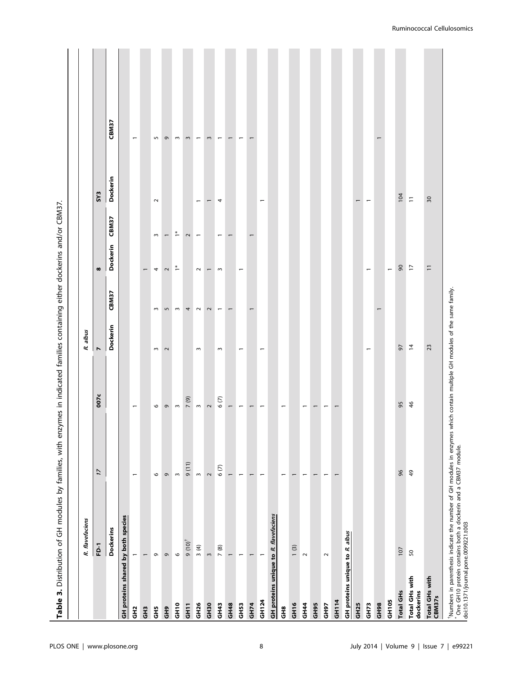|                                 | Table 3. Distribution of GH modules by families, with enzymes in indicated families containing either dockerins and/or CBM37.                                                                                                        |                          |                          |                          |           |                          |                          |                          |                          |
|---------------------------------|--------------------------------------------------------------------------------------------------------------------------------------------------------------------------------------------------------------------------------------|--------------------------|--------------------------|--------------------------|-----------|--------------------------|--------------------------|--------------------------|--------------------------|
|                                 | R. flavefaciens                                                                                                                                                                                                                      |                          |                          | albus<br>œ               |           |                          |                          |                          |                          |
|                                 | FD-1                                                                                                                                                                                                                                 | $\overline{\mathcal{L}}$ | 007c                     | Z                        |           | $\pmb{\infty}$           |                          | SY <sub>3</sub>          |                          |
|                                 | <b>Dockerins</b>                                                                                                                                                                                                                     |                          |                          | Dockerin                 | CBM37     | <b>Dockerin</b>          | CBM37                    | <b>Dockerin</b>          | CBM37                    |
|                                 | GH proteins shared by both species                                                                                                                                                                                                   |                          |                          |                          |           |                          |                          |                          |                          |
| GH <sub>2</sub>                 | $\overline{\phantom{0}}$                                                                                                                                                                                                             | $\overline{ }$           | $\overline{ }$           |                          |           |                          |                          |                          | $\overline{ }$           |
| $\ddot{a}$                      | $\overline{\phantom{0}}$                                                                                                                                                                                                             |                          |                          |                          |           |                          |                          |                          |                          |
| $\ddot{a}$                      | $\circ$                                                                                                                                                                                                                              | $\circ$                  | $\mathsf{o}$             | $\sim$                   | $\,$ $\,$ | 4                        | $\sim$                   | $\sim$                   | $\overline{5}$           |
| GH <sub>9</sub>                 | $\circ$                                                                                                                                                                                                                              | $\circ$                  | $\circ$                  | $\sim$                   | 5         | $\sim$                   | $\overline{\phantom{0}}$ |                          | G                        |
| GH <sub>10</sub>                | $\circ$                                                                                                                                                                                                                              | $\,$ $\,$                | $\sim$                   |                          | $\,$ $\,$ | $\overset{*}{\text{-}}$  | $\ddot{\phantom{1}}$     |                          | $\,$ $\,$                |
| GH <sub>11</sub>                | $9(10)^{4}$                                                                                                                                                                                                                          | (11)                     | 7(9)                     |                          | 4         |                          | $\sim$                   |                          | $\sim$                   |
| GH <sub>26</sub>                | 3(4)                                                                                                                                                                                                                                 | $\,$ $\,$                | $\sim$                   | $\,$ $\,$                | $\sim$    | $\sim$                   | $\overline{\phantom{0}}$ | $\overline{\phantom{0}}$ | $\overline{\phantom{0}}$ |
| GH <sub>30</sub>                | $\,$ $\,$                                                                                                                                                                                                                            | $\sim$                   | $\sim$                   |                          | $\sim$    | $\overline{\phantom{m}}$ |                          | $\overline{\phantom{m}}$ | $\,$ $\,$                |
| GH43                            | 7(8)                                                                                                                                                                                                                                 | 6(7)                     | 6(7)                     | $\sim$                   |           | $\sim$                   | $\overline{ }$           | 4                        |                          |
| GH48                            | $\overline{\phantom{0}}$                                                                                                                                                                                                             | $\overline{\phantom{0}}$ | $\overline{\phantom{0}}$ |                          |           |                          |                          |                          | $\overline{ }$           |
| GH53                            | $\overline{\phantom{a}}$                                                                                                                                                                                                             | $\overline{\phantom{a}}$ | $\overline{\phantom{0}}$ | $\overline{\phantom{a}}$ |           | $\overline{\phantom{0}}$ |                          |                          | $\overline{\phantom{0}}$ |
| GH74                            | $\overline{ }$                                                                                                                                                                                                                       | $\overline{\phantom{0}}$ | $\overline{ }$           |                          |           |                          |                          |                          | $\overline{\phantom{0}}$ |
| GH124                           | $\overline{ }$                                                                                                                                                                                                                       | $\overline{ }$           | $\overline{\phantom{0}}$ | $\overline{ }$           |           |                          |                          | $\overline{\phantom{m}}$ |                          |
|                                 | GH proteins unique to R. flavefaciens                                                                                                                                                                                                |                          |                          |                          |           |                          |                          |                          |                          |
| $\frac{8}{5}$                   |                                                                                                                                                                                                                                      | $\overline{ }$           | $\overline{\phantom{0}}$ |                          |           |                          |                          |                          |                          |
| GH <sub>16</sub>                | 1(3)                                                                                                                                                                                                                                 | $\overline{ }$           |                          |                          |           |                          |                          |                          |                          |
| <b>GH44</b>                     | $\sim$                                                                                                                                                                                                                               | $\overline{\phantom{0}}$ | $\overline{\phantom{0}}$ |                          |           |                          |                          |                          |                          |
| GH <sub>95</sub>                |                                                                                                                                                                                                                                      | $\overline{\phantom{0}}$ | $\overline{\phantom{0}}$ |                          |           |                          |                          |                          |                          |
| GH <sub>97</sub>                | $\sim$                                                                                                                                                                                                                               | $\overline{\phantom{m}}$ | $\overline{\phantom{0}}$ |                          |           |                          |                          |                          |                          |
| GH114                           |                                                                                                                                                                                                                                      | $\overline{ }$           |                          |                          |           |                          |                          |                          |                          |
| GH proteins unique to           | R. albus                                                                                                                                                                                                                             |                          |                          |                          |           |                          |                          |                          |                          |
| GH <sub>25</sub>                |                                                                                                                                                                                                                                      |                          |                          |                          |           |                          |                          | $\overline{\phantom{0}}$ |                          |
| GH73                            |                                                                                                                                                                                                                                      |                          |                          | $\overline{ }$           |           | $\overline{\phantom{0}}$ |                          | $\overline{ }$           |                          |
| <b>GH98</b>                     |                                                                                                                                                                                                                                      |                          |                          |                          |           |                          |                          |                          |                          |
| GH105                           |                                                                                                                                                                                                                                      |                          |                          |                          |           | $\overline{\phantom{0}}$ |                          |                          |                          |
| <b>Total GHs</b>                | 107                                                                                                                                                                                                                                  | $\%$                     | 95                       | 57                       |           | $\infty$                 |                          | 104                      |                          |
| Total GHs with<br>dockerins     | 50                                                                                                                                                                                                                                   | $\frac{4}{9}$            | $\frac{4}{5}$            | $\overline{4}$           |           | $\overline{1}$           |                          | $\overline{1}$           |                          |
| Total GHs with<br><b>CBM37s</b> |                                                                                                                                                                                                                                      |                          |                          | 23                       |           | $\overline{1}$           |                          | 30                       |                          |
|                                 | †Numbers in parenthesis indicate the number of GH modules in enzymes which contain multiple GH modules of the same family.<br>* One GH10 protein contains both a dockerin and a CBM37 module.<br>  doi:10.1371/journal.pone.0099221. |                          |                          |                          |           |                          |                          |                          |                          |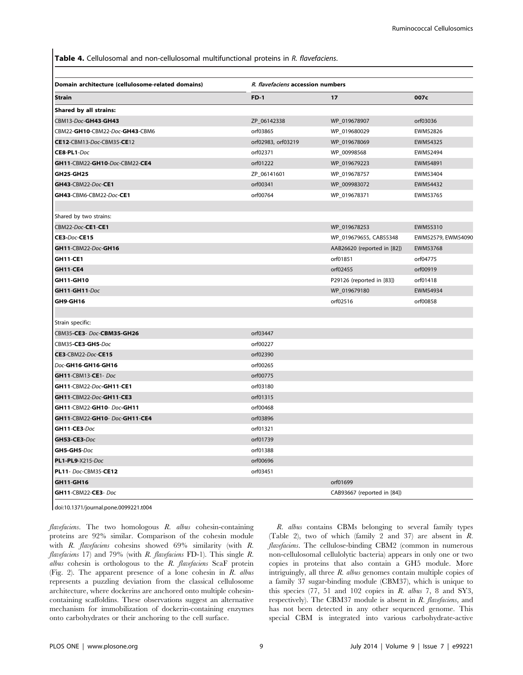Table 4. Cellulosomal and non-cellulosomal multifunctional proteins in R. flavefaciens.

| Domain architecture (cellulosome-related domains) | R. flavefaciens accession numbers |                             |                    |
|---------------------------------------------------|-----------------------------------|-----------------------------|--------------------|
| <b>Strain</b>                                     | $FD-1$                            | 17                          | 007c               |
| Shared by all strains:                            |                                   |                             |                    |
| CBM13-Doc-GH43-GH43                               | ZP_06142338                       | WP_019678907                | orf03036           |
| CBM22-GH10-CBM22-Doc-GH43-CBM6                    | orf03865                          | WP_019680029                | EWM52826           |
| CE12-CBM13-Doc-CBM35-CE12                         | orf02983, orf03219                | WP_019678069                | EWM54325           |
| CE8-PL1-Doc                                       | orf02371                          | WP_00998568                 | EWM52494           |
| GH11-CBM22-GH10-Doc-CBM22-CE4                     | orf01222                          | WP_019679223                | EWM54891           |
| <b>GH25-GH25</b>                                  | ZP_06141601                       | WP_019678757                | EWM53404           |
| GH43-CBM22-Doc-CE1                                | orf00341                          | WP_009983072                | EWM54432           |
| GH43-CBM6-CBM22-Doc-CE1                           | orf00764                          | WP_019678371                | EWM53765           |
|                                                   |                                   |                             |                    |
| Shared by two strains:                            |                                   |                             |                    |
| CBM22-Doc-CE1-CE1<br>CE3-Doc-CE15                 |                                   | WP_019678253                | EWM55310           |
| GH11-CBM22-Doc-GH16                               |                                   | WP_019679655, CAB55348      | EWM52579, EWM54090 |
|                                                   |                                   | AAB26620 (reported in [82]) | EWM53768           |
| <b>GH11-CE1</b>                                   |                                   | orf01851                    | orf04775           |
| <b>GH11-CE4</b>                                   |                                   | orf02455                    | orf00919           |
| GH11-GH10                                         |                                   | P29126 (reported in [83])   | orf01418           |
| GH11-GH11-Doc                                     |                                   | WP_019679180                | EWM54934           |
| GH9-GH16                                          |                                   | orf02516                    | orf00858           |
|                                                   |                                   |                             |                    |
| Strain specific:                                  |                                   |                             |                    |
| CBM35-CE3- Doc-CBM35-GH26                         | orf03447                          |                             |                    |
| CBM35-CE3-GH5-Doc                                 | orf00227                          |                             |                    |
| <b>CE3-CBM22-Doc-CE15</b>                         | orf02390                          |                             |                    |
| Doc-GH16-GH16-GH16                                | orf00265                          |                             |                    |
| <b>GH11-CBM13-CE1- Doc</b>                        | orf00775                          |                             |                    |
| GH11-CBM22-Doc-GH11-CE1                           | orf03180                          |                             |                    |
| GH11-CBM22-Doc-GH11-CE3                           | orf01315                          |                             |                    |
| GH11-CBM22-GH10-Doc-GH11                          | orf00468                          |                             |                    |
| GH11-CBM22-GH10- Doc-GH11-CE4                     | orf03896                          |                             |                    |
| GH11-CE3-Doc                                      | orf01321                          |                             |                    |
| <b>GH53-CE3-Doc</b>                               | orf01739                          |                             |                    |
| GH5-GH5-Doc                                       | orf01388                          |                             |                    |
| PL1-PL9-X215-Doc                                  | orf00696                          |                             |                    |
| PL11- Doc-CBM35-CE12                              | orf03451                          |                             |                    |
| GH11-GH16                                         |                                   | orf01699                    |                    |
| GH11-CBM22-CE3- Doc                               |                                   | CAB93667 (reported in [84]) |                    |

doi:10.1371/journal.pone.0099221.t004

flavefaciens. The two homologous R. albus cohesin-containing proteins are 92% similar. Comparison of the cohesin module with R. flavefaciens cohesins showed 69% similarity (with R. flavefaciens 17) and 79% (with R. flavefaciens FD-1). This single R. albus cohesin is orthologous to the  $R$ . flavefaciens  $ScaF$  protein (Fig. 2). The apparent presence of a lone cohesin in R. albus represents a puzzling deviation from the classical cellulosome architecture, where dockerins are anchored onto multiple cohesincontaining scaffoldins. These observations suggest an alternative mechanism for immobilization of dockerin-containing enzymes onto carbohydrates or their anchoring to the cell surface.

R. albus contains CBMs belonging to several family types (Table 2), two of which (family 2 and 37) are absent in R. flavefaciens. The cellulose-binding CBM2 (common in numerous non-cellulosomal cellulolytic bacteria) appears in only one or two copies in proteins that also contain a GH5 module. More intriguingly, all three R. albus genomes contain multiple copies of a family 37 sugar-binding module (CBM37), which is unique to this species (77, 51 and 102 copies in R. albus 7, 8 and SY3, respectively). The CBM37 module is absent in R. flavefaciens, and has not been detected in any other sequenced genome. This special CBM is integrated into various carbohydrate-active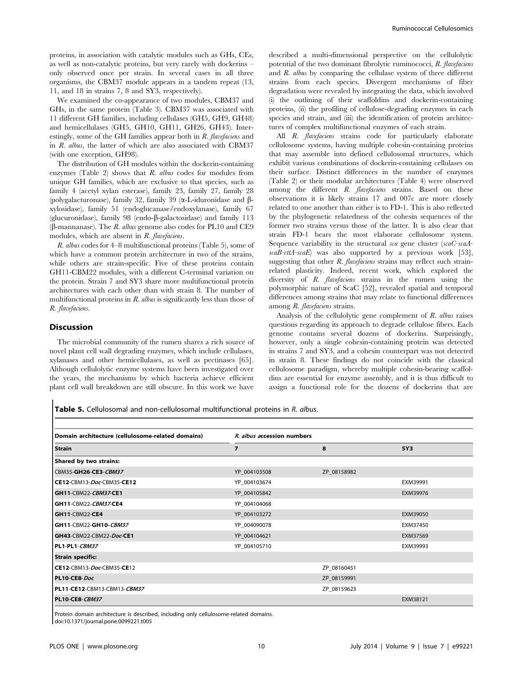proteins, in association with catalytic modules such as GHs, CEs, as well as non-catalytic proteins, but very rarely with dockerins – only observed once per strain. In several cases in all three organisms, the CBM37 module appears in a tandem repeat (13, 11, and 18 in strains 7, 8 and SY3, respectively).

We examined the co-appearance of two modules, CBM37 and GHs, in the same protein (Table 3). CBM37 was associated with 11 different GH families, including cellulases (GH5, GH9, GH48) and hemicellulases (GH5, GH10, GH11, GH26, GH43). Interestingly, some of the GH families appear both in R. flavefaciens and in R. albus, the latter of which are also associated with CBM37 (with one exception, GH98).

The distribution of GH modules within the dockerin-containing enzymes (Table 2) shows that  $R$ . albus codes for modules from unique GH families, which are exclusive to that species, such as family 4 (acetyl xylan esterase), family 23, family 27, family 28 (polygalacturonase), family 32, family 39 ( $\alpha$ -L-iduronidase and  $\beta$ xylosidase), family 51 (endoglucanase/endoxylanase), family 67 (glucuronidase), family 98 (endo- $\beta$ -galactosidase) and family 113 ( $\beta$ -mannanase). The *R. albus* genome also codes for PL10 and CE9 modules, which are absent in R. flavefaciens.

R. albus codes for 4–8 multifunctional proteins (Table 5), some of which have a common protein architecture in two of the strains, while others are strain-specific. Five of these proteins contain GH11-CBM22 modules, with a different C-terminal variation on the protein. Strain 7 and SY3 share more multifunctional protein architectures with each other than with strain 8. The number of multifunctional proteins in  $R$ , albus is significantly less than those of R. flavefaciens.

#### Discussion

The microbial community of the rumen shares a rich source of novel plant cell wall degrading enzymes, which include cellulases, xylanases and other hemicellulases, as well as pectinases [65]. Although cellulolytic enzyme systems have been investigated over the years, the mechanisms by which bacteria achieve efficient plant cell wall breakdown are still obscure. In this work we have

described a multi-dimensional perspective on the cellulolytic potential of the two dominant fibrolytic ruminococci, R. flavefaciens and R. albus by comparing the cellulase system of three different strains from each species. Divergent mechanisms of fiber degradation were revealed by integrating the data, which involved (i) the outlining of their scaffoldins and dockerin-containing proteins, (ii) the profiling of cellulose-degrading enzymes in each species and strain, and (iii) the identification of protein architectures of complex multifunctional enzymes of each strain.

All R. *flavefaciens* strains code for particularly elaborate cellulosome systems, having multiple cohesin-containing proteins that may assemble into defined cellulosomal structures, which exhibit various combinations of dockerin-containing cellulases on their surface. Distinct differences in the number of enzymes (Table 2) or their modular architectures (Table 4) were observed among the different R. flavefaciens strains. Based on these observations it is likely strains 17 and 007c are more closely related to one another than either is to FD-1. This is also reflected by the phylogenetic relatedness of the cohesin sequences of the former two strains versus those of the latter. It is also clear that strain FD-1 bears the most elaborate cellulosome system. Sequence variability in the structural sca gene cluster (scaC-scaA $scaB-cttA-scaE$ ) was also supported by a previous work [53], suggesting that other  $R$ . flavefaciens strains may reflect such strainrelated plasticity. Indeed, recent work, which explored the diversity of R. flavefaciens strains in the rumen using the polymorphic nature of ScaC [52], revealed spatial and temporal differences among strains that may relate to functional differences among R. flavefaciens strains.

Analysis of the cellulolytic gene complement of R. albus raises questions regarding its approach to degrade cellulose fibers. Each genome contains several dozens of dockerins. Surprisingly, however, only a single cohesin-containing protein was detected in strains 7 and SY3, and a cohesin counterpart was not detected in strain 8. These findings do not coincide with the classical cellulosome paradigm, whereby multiple cohesin-bearing scaffoldins are essential for enzyme assembly, and it is thus difficult to assign a functional role for the dozens of dockerins that are

Table 5. Cellulosomal and non-cellulosomal multifunctional proteins in R. albus.

| Domain architecture (cellulosome-related domains) | R. albus accession numbers |             |                 |
|---------------------------------------------------|----------------------------|-------------|-----------------|
| <b>Strain</b>                                     | $\overline{7}$             | 8           | SY <sub>3</sub> |
| Shared by two strains:                            |                            |             |                 |
| CBM35-GH26-CE3-CBM37                              | YP 004103508               | ZP_08158982 |                 |
| CE12-CBM13-Doc-CBM35-CE12                         | YP 004103674               |             | EXM39991        |
| GH11-CBM22-CBM37-CE1                              | YP_004105842               |             | EXM39976        |
| GH11-CBM22-CBM37-CE4                              | YP 004104068               |             |                 |
| GH11-CBM22-CE4                                    | YP_004103272               |             | EXM39050        |
| GH11-CBM22-GH10-CBM37                             | YP 004090078               |             | EXM37450        |
| GH43-CBM22-CBM22-Doc-CE1                          | YP 004104621               |             | EXM37569        |
| PL1-PL1-CBM37                                     | YP_004105710               |             | EXM39993        |
| <b>Strain specific:</b>                           |                            |             |                 |
| CE12-CBM13-Doc-CBM35-CE12                         |                            | ZP_08160451 |                 |
| PL10-CE8-Doc                                      |                            | ZP_08159991 |                 |
| <b>PL11-CE12-</b> CBM13-CBM13-CBM37               |                            | ZP 08159623 |                 |
| PL10-CE8-CBM37                                    |                            |             | EXM38121        |

Protein domain architecture is described, including only cellulosome-related domains.

doi:10.1371/journal.pone.0099221.t005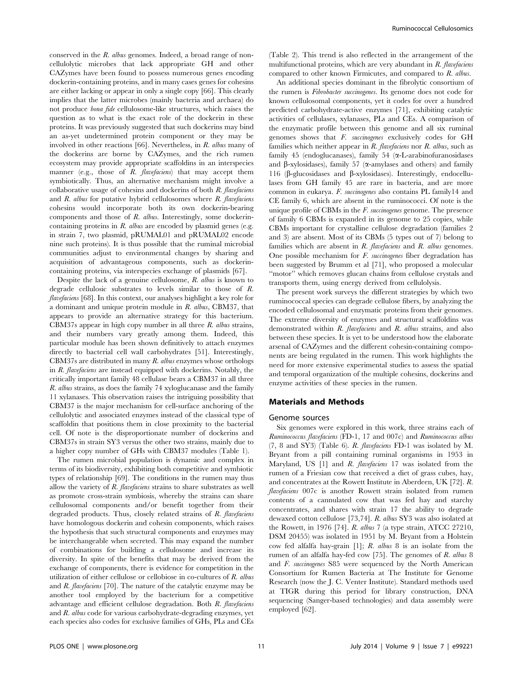conserved in the R. albus genomes. Indeed, a broad range of noncellulolytic microbes that lack appropriate GH and other CAZymes have been found to possess numerous genes encoding dockerin-containing proteins, and in many cases genes for cohesins are either lacking or appear in only a single copy [66]. This clearly implies that the latter microbes (mainly bacteria and archaea) do not produce bona fide cellulosome-like structures, which raises the question as to what is the exact role of the dockerin in these proteins. It was previously suggested that such dockerins may bind an as-yet undetermined protein component or they may be involved in other reactions [66]. Nevertheless, in R. albus many of the dockerins are borne by CAZymes, and the rich rumen ecosystem may provide appropriate scaffoldins in an interspecies manner (e.g., those of R. *flavefaciens*) that may accept them symbiotically. Thus, an alternative mechanism might involve a collaborative usage of cohesins and dockerins of both  $R$ . flavefaciens and  $R$ . albus for putative hybrid cellulosomes where  $R$ . flavefaciens cohesins would incorporate both its own dockerin-bearing components and those of R. albus. Interestingly, some dockerincontaining proteins in  $R$ . *albus* are encoded by plasmid genes (e.g. in strain 7, two plasmid, pRUMAL01 and pRUMAL02 encode nine such proteins). It is thus possible that the ruminal microbial communities adjust to environmental changes by sharing and acquisition of advantageous components, such as dockerincontaining proteins, via interspecies exchange of plasmids [67].

Despite the lack of a genuine cellulosome, R. albus is known to degrade cellulosic substrates to levels similar to those of R. flavefaciens [68]. In this context, our analyses highlight a key role for a dominant and unique protein module in R. albus, CBM37, that appears to provide an alternative strategy for this bacterium. CBM37s appear in high copy number in all three R. albus strains, and their numbers vary greatly among them. Indeed, this particular module has been shown definitively to attach enzymes directly to bacterial cell wall carbohydrates [51]. Interestingly, CBM37s are distributed in many  $R$ . albus enzymes whose orthologs in R. flavefaciens are instead equipped with dockerins. Notably, the critically important family 48 cellulase bears a CBM37 in all three R. albus strains, as does the family 74 xyloglucanase and the family 11 xylanases. This observation raises the intriguing possibility that CBM37 is the major mechanism for cell-surface anchoring of the cellulolytic and associated enzymes instead of the classical type of scaffoldin that positions them in close proximity to the bacterial cell. Of note is the disproportionate number of dockerins and CBM37s in strain SY3 versus the other two strains, mainly due to a higher copy number of GHs with CBM37 modules (Table 1).

The rumen microbial population is dynamic and complex in terms of its biodiversity, exhibiting both competitive and symbiotic types of relationship [69]. The conditions in the rumen may thus allow the variety of R. flavefaciens strains to share substrates as well as promote cross-strain symbiosis, whereby the strains can share cellulosomal components and/or benefit together from their degraded products. Thus, closely related strains of R. flavefaciens have homologous dockerin and cohesin components, which raises the hypothesis that such structural components and enzymes may be interchangeable when secreted. This may expand the number of combinations for building a cellulosome and increase its diversity. In spite of the benefits that may be derived from the exchange of components, there is evidence for competition in the utilization of either cellulose or cellobiose in co-cultures of R. albus and  $R$ . flavefaciens [70]. The nature of the catalytic enzyme may be another tool employed by the bacterium for a competitive advantage and efficient cellulose degradation. Both R. flavefaciens and R. albus code for various carbohydrate-degrading enzymes, yet each species also codes for exclusive families of GHs, PLs and CEs

(Table 2). This trend is also reflected in the arrangement of the multifunctional proteins, which are very abundant in  $R$ . flavefaciens compared to other known Firmicutes, and compared to R. albus.

An additional species dominant in the fibrolytic consortium of the rumen is Fibrobacter succinogenes. Its genome does not code for known cellulosomal components, yet it codes for over a hundred predicted carbohydrate-active enzymes [71], exhibiting catalytic activities of cellulases, xylanases, PLs and CEs. A comparison of the enzymatic profile between this genome and all six ruminal genomes shows that F. succinogenes exclusively codes for GH families which neither appear in R. flavefaciens nor R. albus, such as family 45 (endoglucanases), family 54  $(\alpha$ -L-arabinofuranosidases and  $\beta$ -xylosidases), family 57 ( $\alpha$ -amylases and others) and family 116 (b-glucosidases and b-xylosidases). Interestingly, endocellulases from GH family 45 are rare in bacteria, and are more common in eukarya. F. succinogenes also contains PL family14 and CE family 6, which are absent in the ruminococci. Of note is the unique profile of CBMs in the F. succinogenes genome. The presence of family 6 CBMs is expanded in its genome to 25 copies, while CBMs important for crystalline cellulose degradation (families 2 and 3) are absent. Most of its CBMs (5 types out of 7) belong to families which are absent in  $R$ . *flavefaciens* and  $R$ . *albus* genomes. One possible mechanism for F. succinogenes fiber degradation has been suggested by Brumm et al [71], who proposed a molecular ''motor'' which removes glucan chains from cellulose crystals and transports them, using energy derived from cellulolysis.

The present work surveys the different strategies by which two ruminococcal species can degrade cellulose fibers, by analyzing the encoded cellulosomal and enzymatic proteins from their genomes. The extreme diversity of enzymes and structural scaffoldins was demonstrated within R. *flavefaciens* and R. *albus* strains, and also between these species. It is yet to be understood how the elaborate arsenal of CAZymes and the different cohesin-containing components are being regulated in the rumen. This work highlights the need for more extensive experimental studies to assess the spatial and temporal organization of the multiple cohesins, dockerins and enzyme activities of these species in the rumen.

#### Materials and Methods

#### Genome sources

Six genomes were explored in this work, three strains each of Ruminococcus flavefaciens (FD-1, 17 and 007c) and Ruminococcus albus (7, 8 and SY3) (Table 6). R. flavefaciens FD-1 was isolated by M. Bryant from a pill containing ruminal organisms in 1953 in Maryland, US [1] and R. flavefaciens 17 was isolated from the rumen of a Friesian cow that received a diet of grass cubes, hay, and concentrates at the Rowett Institute in Aberdeen, UK [72]. R. flavefaciens 007c is another Rowett strain isolated from rumen contents of a cannulated cow that was fed hay and starchy concentrates, and shares with strain 17 the ability to degrade dewaxed cotton cellulose [73,74]. R. albus SY3 was also isolated at the Rowett, in 1976 [74]. R. albus 7 (a type strain, ATCC 27210, DSM 20455) was isolated in 1951 by M. Bryant from a Holstein cow fed alfalfa hay-grain [1]; R. albus 8 is an isolate from the rumen of an alfalfa hay-fed cow [75]. The genomes of R. albus 8 and F. succinogenes S85 were sequenced by the North American Consortium for Rumen Bacteria at The Institute for Genome Research (now the J. C. Venter Institute). Standard methods used at TIGR during this period for library construction, DNA sequencing (Sanger-based technologies) and data assembly were employed [62].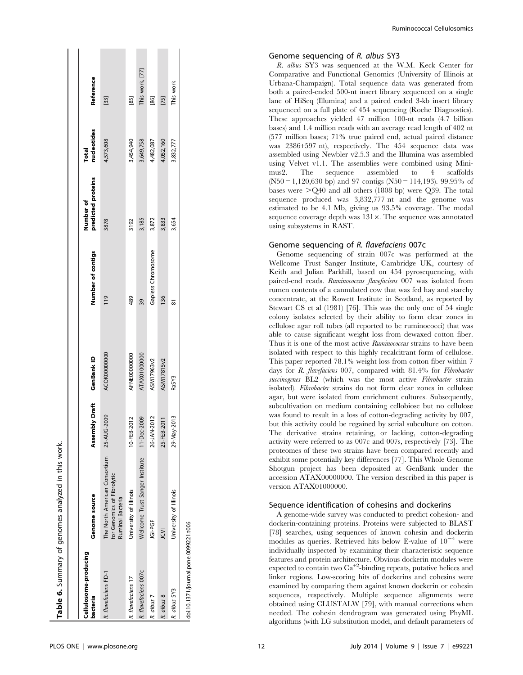|                                       | Table 6. Summary of genomes analyzed in this work.                              |                           |              |                    |                                 |                             |                 |
|---------------------------------------|---------------------------------------------------------------------------------|---------------------------|--------------|--------------------|---------------------------------|-----------------------------|-----------------|
| Cellulosome-producing<br>bacteria     | Genome source                                                                   | Assembly Draft GenBank ID |              | Number of contigs  | predicted proteins<br>Number of | nucleotides<br><b>Total</b> | Reference       |
| R. flavefaciens FD-1                  | The North American Consortium<br>for Genomics of Fibrolytic<br>Ruminal Bacteria | 25-AUG-2009               | ACOK00000000 | $\frac{19}{2}$     | 3878                            | 4,573,608                   | $[33]$          |
| R. flavefaciens 17                    | Jniversity of Illinois                                                          | 10-FEB-2012               | AFNE00000000 | 489                | 3192                            | 3,454,940                   | $[85]$          |
| R. flavefaciens 007c                  | Wellcome Trust Sanger Institute                                                 | 11-Dec-2009               | ATAX01000000 | 39                 | 3,185                           | 3,649,758                   | This work, [77] |
| R. albus 7                            | <b>UG-PGF</b>                                                                   | 26-JAN-2012               | ASM17963v2   | Gapless Chromosome | 3,872                           | 4,482,087                   | $[86]$          |
| R. albus 8                            | Σ                                                                               | 25-FEB-2011               | ASM17815v2   | $\frac{36}{5}$     | 3,833                           | 4,052,160                   | $[75]$          |
| R. albus SY3                          | <b>Jniversity of Illinois</b>                                                   | 29-May-2013               | RaSY3        | œ                  | 3,654                           | 3,832,777                   | This work       |
| doi:10.1371/journal.pone.0099221.t006 |                                                                                 |                           |              |                    |                                 |                             |                 |

Ruminococcal Cellulosomics

#### Genome sequencing of R. albus SY3

R. albus SY3 was sequenced at the W.M. Keck Center for Comparative and Functional Genomics (University of Illinois at Urbana-Champaign). Total sequence data was generated from both a paired-ended 500-nt insert library sequenced on a single lane of HiSeq (Illumina) and a paired ended 3-kb insert library sequenced on a full plate of 454 sequencing (Roche Diagnostics). These approaches yielded 47 million 100-nt reads (4.7 billion bases) and 1.4 million reads with an average read length of 402 nt (577 million bases; 71% true paired end, actual paired distance was 2386+597 nt), respectively. The 454 sequence data was assembled using Newbler v2.5.3 and the Illumina was assembled using Velvet v1.1. The assemblies were combined using Minimus2. The sequence assembled to 4 scaffolds  $(N50 = 1,120,630$  bp) and 97 contigs  $(N50 = 114,193)$ . 99.95% of bases were  $>Q$ 40 and all others (1808 bp) were  $Q$ 39. The total sequence produced was 3,832,777 nt and the genome was estimated to be 4.1 Mb, giving us 93.5% coverage. The modal sequence coverage depth was  $131 \times$ . The sequence was annotated using subsystems in RAST.

#### Genome sequencing of R. flavefaciens 007c

Genome sequencing of strain 007c was performed at the Wellcome Trust Sanger Institute, Cambridge UK, courtesy of Keith and Julian Parkhill, based on 454 pyrosequencing, with paired-end reads. Ruminococcus flavefaciens 007 was isolated from rumen contents of a cannulated cow that was fed hay and starchy concentrate, at the Rowett Institute in Scotland, as reported by Stewart CS et al (1981) [76]. This was the only one of 54 single colony isolates selected by their ability to form clear zones in cellulose agar roll tubes (all reported to be ruminococci) that was able to cause significant weight loss from dewaxed cotton fiber. Thus it is one of the most active *Ruminococcus* strains to have been isolated with respect to this highly recalcitrant form of cellulose. This paper reported 78.1% weight loss from cotton fiber within 7 days for R. flavefaciens 007, compared with 81.4% for Fibrobacter succinogenes BL2 (which was the most active Fibrobacter strain isolated). Fibrobacter strains do not form clear zones in cellulose agar, but were isolated from enrichment cultures. Subsequently, subcultivation on medium containing cellobiose but no cellulose was found to result in a loss of cotton-degrading activity by 007, but this activity could be regained by serial subculture on cotton. The derivative strains retaining, or lacking, cotton-degrading activity were referred to as 007c and 007s, respectively [73]. The proteomes of these two strains have been compared recently and exhibit some potentially key differences [77]. This Whole Genome Shotgun project has been deposited at GenBank under the accession ATAX00000000. The version described in this paper is version ATAX01000000.

#### Sequence identification of cohesins and dockerins

A genome-wide survey was conducted to predict cohesion- and dockerin-containing proteins. Proteins were subjected to BLAST [78] searches, using sequences of known cohesin and dockerin modules as queries. Retrieved hits below E-value of  $10^{-4}$  were individually inspected by examining their characteristic sequence features and protein architecture. Obvious dockerin modules were expected to contain two Ca<sup>+2</sup>-binding repeats, putative helices and linker regions. Low-scoring hits of dockerins and cohesins were examined by comparing them against known dockerin or cohesin sequences, respectively. Multiple sequence alignments were obtained using CLUSTALW [79], with manual corrections when needed. The cohesin dendrogram was generated using PhyML algorithms (with LG substitution model, and default parameters of

Table 6. Summary of genomes analyzed in this work.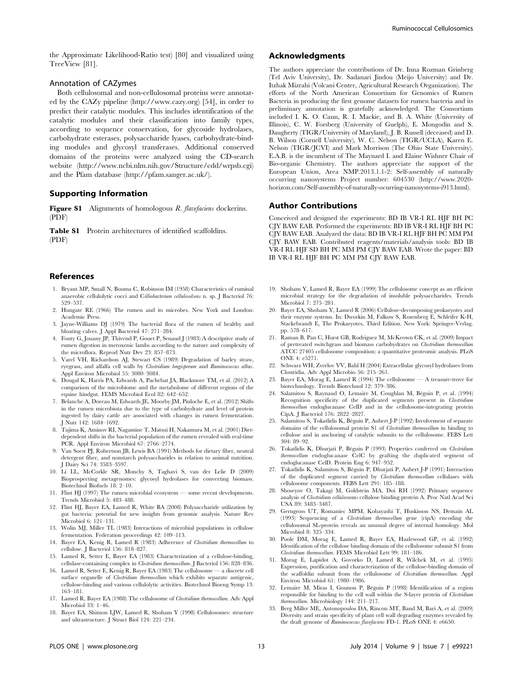the Approximate Likelihood-Ratio test) [80] and visualized using TreeView [81].

### Annotation of CAZymes

Both cellulosomal and non-cellulosomal proteins were annotated by the CAZy pipeline ([http://www.cazy.org\)](http://www.cazy.org) [54], in order to predict their catalytic modules. This includes identification of the catalytic modules and their classification into family types, according to sequence conservation, for glycoside hydrolases, carbohydrate esterases, polysaccharide lyases, carbohydrate-binding modules and glycosyl transferases. Additional conserved domains of the proteins were analyzed using the CD-search website [\(http://www.ncbi.nlm.nih.gov/Structure/cdd/wrpsb.cgi\)](http://www.ncbi.nlm.nih.gov/Structure/cdd/wrpsb.cgi) and the Pfam database [\(http://pfam.sanger.ac.uk/\)](http://pfam.sanger.ac.uk/).

# Supporting Information

Figure S1 Alignments of homologous R. flavefaciens dockerins. (PDF)

Table S1 Protein architectures of identified scaffoldins. (PDF)

#### References

- 1. Bryant MP, Small N, Bouma C, Robinson IM (1958) Characteristics of ruminal anaerobic cellulolytic cocci and Cilliobacterium cellulosolvens n. sp. J Bacteriol 76: 529–537.
- 2. Hungate RE (1966) The rumen and its microbes. New York and London: Academic Press.
- 3. Jayne-Williams DJ (1979) The bacterial flora of the rumen of healthy and bloating calves. J Appl Bacteriol 47: 271–284.
- 4. Fonty G, Jouany JP, Thivend P, Gouet P, Senaud J (1983) A descriptive study of rumen digestion in meroxenic lambs according to the nature and complexity of the microflora. Reprod Nutr Dev 23: 857–873.
- 5. Varel VH, Richardson AJ, Stewart CS (1989) Degradation of barley straw, ryegrass, and alfalfa cell walls by Clostridium longisporum and Ruminococcus albus. Appl Environ Microbiol 55: 3080–3084.
- 6. Dougal K, Harris PA, Edwards A, Pachebat JA, Blackmore TM, et al. (2012) A comparison of the microbiome and the metabolome of different regions of the equine hindgut. FEMS Microbiol Ecol 82: 642–652.
- 7. Belanche A, Doreau M, Edwards JE, Moorby JM, Pinloche E, et al. (2012) Shifts in the rumen microbiota due to the type of carbohydrate and level of protein ingested by dairy cattle are associated with changes in rumen fermentation. J Nutr 142: 1684–1692.
- 8. Tajima K, Aminov RI, Nagamine T, Matsui H, Nakamura M, et al. (2001) Dietdependent shifts in the bacterial population of the rumen revealed with real-time PCR. Appl Environ Microbiol 67: 2766–2774.
- 9. Van Soest PJ, Robertson JB, Lewis BA (1991) Methods for dietary fiber, neutral detergent fiber, and nonstarch polysaccharides in relation to animal nutrition. J Dairy Sci 74: 3583–3597.
- 10. Li LL, McCorkle SR, Monchy S, Taghavi S, van der Lelie D (2009) Bioprospecting metagenomes: glycosyl hydrolases for converting biomass. Biotechnol Biofuels 18: 2–10.
- 11. Flint HJ (1997) The rumen microbial ecosystem some recent developments. Trends Microbiol 5: 483–488.
- 12. Flint HJ, Bayer EA, Lamed R, White BA (2008) Polysaccharide utilization by gut bacteria: potential for new insights from genomic analysis. Nature Rev Microbiol 6: 121–131.
- 13. Wolin MJ, Miller TL (1983) Interactions of microbial populations in cellulose fermentation. Federation proceedings 42: 109–113.
- 14. Bayer EA, Kenig R, Lamed R (1983) Adherence of Clostridium thermocellum to cellulose. J Bacteriol 156: 818–827.
- 15. Lamed R, Setter E, Bayer EA (1983) Characterization of a cellulose-binding, cellulase-containing complex in Clostridium thermocellum. J Bacteriol 156: 828–836.
- 16. Lamed R, Setter E, Kenig R, Bayer EA (1983) The cellulosome a discrete cell surface organelle of Clostridium thermocellum which exhibits separate antigenic, cellulose-binding and various cellulolytic activities. Biotechnol Bioeng Symp 13: 163–181.
- 17. Lamed R, Bayer EA (1988) The cellulosome of Clostridium thermocellum. Adv Appl Microbiol 33: 1–46.
- 18. Bayer EA, Shimon LJW, Lamed R, Shoham Y (1998) Cellulosomes: structure and ultrastructure. J Struct Biol 124: 221–234.

# Acknowledgments

The authors appreciate the contributions of Dr. Inna Rozman Grinberg (Tel Aviv University), Dr. Sadanari Jindou (Meijo University) and Dr. Itzhak Mizrahi (Volcani Center, Agricultural Research Organization). The efforts of the North American Consortium for Genomics of Rumen Bacteria in producing the first genome datasets for rumen bacteria and its preliminary annotation is gratefully acknowledged. The Consortium included I. K. O. Cann, R. I. Mackie, and B. A. White (University of Illinois), C. W. Forsberg (University of Guelph), E. Mongodin and S. Daugherty (TIGR/University of Maryland), J. B. Russell (deceased) and D. B. Wilson (Cornell University), W. C. Nelson (TIGR/UCLA), Karen E. Nelson (TIGR/JCVI) and Mark Morrison (The Ohio State University). E.A.B. is the incumbent of The Maynard I. and Elaine Wishner Chair of Bio-organic Chemistry. The authors appreciate the support of the European Union, Area NMP.2013.1.1-2: Self-assembly of naturally occurring nanosystems Project number: 604530 (http://www.2020 horizon.com/Self-assembly-of-naturally-ocurring-nanosystems-i913.html).

# Author Contributions

Conceived and designed the experiments: BD IB VR-I RL HJF BH PC CJY BAW EAB. Performed the experiments: BD IB VR-I RL HJF BH PC CJY BAW EAB. Analyzed the data: BD IB VR-I RL HJF BH PC MM PM CJY BAW EAB. Contributed reagents/materials/analysis tools: BD IB VR-I RL HJF SD BH PC MM PM CJY BAW EAB. Wrote the paper: BD IB VR-I RL HJF BH PC MM PM CJY BAW EAB.

- 19. Shoham Y, Lamed R, Bayer EA (1999) The cellulosome concept as an efficient microbial strategy for the degradation of insoluble polysaccharides. Trends Microbiol 7: 275–281.
- 20. Bayer EA, Shoham Y, Lamed R (2006) Cellulose-decomposing prokaryotes and their enzyme systems. In: Dworkin M, Falkow S, Rosenberg E, Schleifer K-H, Stackebrandt E, The Prokaryotes, Third Edition. New York: Springer-Verlag. pp. 578–617.
- 21. Raman B, Pan C, Hurst GB, Rodriguez M, McKeown CK, et al. (2009) Impact of pretreated switchgrass and biomass carbohydrates on Clostridium thermocellum ATCC 27405 cellulosome composition: a quantitative proteomic analysis. PLoS ONE 4: e5271.
- 22. Schwarz WH, Zverlov VV, Bahl H (2004) Extracellular glycosyl hydrolases from Clostridia. Adv Appl Microbio 56: 215–261.
- 23. Bayer EA, Morag E, Lamed R (1994) The cellulosome A treasure-trove for biotechnology. Trends Biotechnol 12: 379–386.
- Salamitou S, Raynaud O, Lemaire M, Coughlan M, Béguin P, et al. (1994) Recognition specificity of the duplicated segments present in *Clostridium* thermocellum endoglucanase CelD and in the cellulosome-integrating protein CipA. J Bacteriol 176: 2822–2827.
- 25. Salamitou S, Tokatlidis K, Béguin P, Aubert J-P (1992) Involvement of separate domains of the cellulosomal protein S1 of Clostridium thermocellum in binding to cellulose and in anchoring of catalytic subunits to the cellulosome. FEBS Lett 304: 89–92.
- 26. Tokatlidis K, Dhurjati P, Béguin P (1993) Properties conferred on Clostridium thermocellum endoglucanase CelC by grafting the duplicated segment of endoglucanase CelD. Protein Eng 6: 947–952.
- 27. Tokatlidis K, Salamitou S, Béguin P, Dhurjati P, Aubert J-P (1991) Interaction of the duplicated segment carried by Clostridium thermocellum cellulases with cellulosome components. FEBS Lett 291: 185–188.
- 28. Shoseyov O, Takagi M, Goldstein MA, Doi RH (1992) Primary sequence analysis of Clostridium cellulovorans cellulose binding protein A. Proc Natl Acad Sci USA 89: 3483–3487.
- 29. Gerngross UT, Romaniec MPM, Kobayashi T, Huskisson NS, Demain AL (1993) Sequencing of a Clostridium thermocellum gene (cipA) encoding the cellulosomal SL-protein reveals an unusual degree of internal homology. Mol Microbiol 8: 325–334.
- 30. Poole DM, Morag E, Lamed R, Bayer EA, Hazlewood GP, et al. (1992) Identification of the cellulose binding domain of the cellulosome subunit S1 from Clostridium thermocellum. FEMS Microbiol Lett 99: 181–186.
- 31. Morag E, Lapidot A, Govorko D, Lamed R, Wilchek M, et al. (1995) Expression, purification and characterization of the cellulose-binding domain of the scaffoldin subunit from the cellulosome of Clostridium thermocellum. Appl Environ Microbiol 61: 1980–1986.
- 32. Lemaire M, Miras I, Gounon P, Béguin P (1998) Identification of a region responsible for binding to the cell wall within the S-layer protein of Clostridium thermocellum. Microbiology 144: 211–217.
- 33. Berg Miller ME, Antonopoulos DA, Rincon MT, Band M, Bari A, et al. (2009) Diversity and strain specificity of plant cell wall degrading enzymes revealed by the draft genome of Ruminococcus flavefaciens FD-1. PLoS ONE 4: e6650.